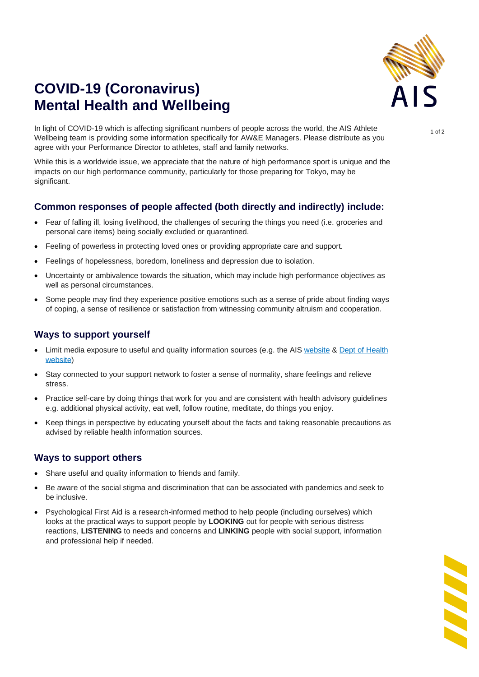

# **COVID-19 (Coronavirus) Mental Health and Wellbeing**

In light of COVID-19 which is affecting significant numbers of people across the world, the AIS Athlete Wellbeing team is providing some information specifically for AW&E Managers. Please distribute as you agree with your Performance Director to athletes, staff and family networks.

While this is a worldwide issue, we appreciate that the nature of high performance sport is unique and the impacts on our high performance community, particularly for those preparing for Tokyo, may be significant.

## **Common responses of people affected (both directly and indirectly) include:**

- Fear of falling ill, losing livelihood, the challenges of securing the things you need (i.e. groceries and personal care items) being socially excluded or quarantined.
- Feeling of powerless in protecting loved ones or providing appropriate care and support.
- Feelings of hopelessness, boredom, loneliness and depression due to isolation.
- Uncertainty or ambivalence towards the situation, which may include high performance objectives as well as personal circumstances.
- Some people may find they experience positive emotions such as a sense of pride about finding ways of coping, a sense of resilience or satisfaction from witnessing community altruism and cooperation.

### **Ways to support yourself**

- Limit media exposure to useful and quality information sources (e.g. the AIS [website](https://ais.gov.au/health-wellbeing/covid-19) & [Dept of Health](https://www.health.gov.au/resources/collections/coronavirus-covid-19-national-health-plan-resources)  [website\)](https://www.health.gov.au/resources/collections/coronavirus-covid-19-national-health-plan-resources)
- Stay connected to your support network to foster a sense of normality, share feelings and relieve stress.
- Practice self-care by doing things that work for you and are consistent with health advisory guidelines e.g. additional physical activity, eat well, follow routine, meditate, do things you enjoy.
- Keep things in perspective by educating yourself about the facts and taking reasonable precautions as advised by reliable health information sources.

#### **Ways to support others**

- Share useful and quality information to friends and family.
- Be aware of the social stigma and discrimination that can be associated with pandemics and seek to be inclusive.
- Psychological First Aid is a research-informed method to help people (including ourselves) which looks at the practical ways to support people by **LOOKING** out for people with serious distress reactions, **LISTENING** to needs and concerns and **LINKING** people with social support, information and professional help if needed.

**SSSS** 

1 of 2